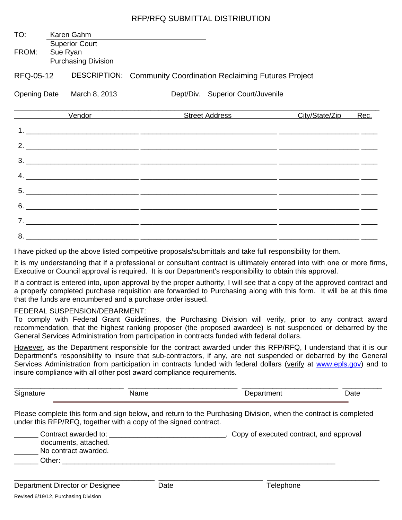## RFP/RFQ SUBMITTAL DISTRIBUTION

| TO:       | Karen Gahm                                               |                                                                                                                                                                                                                                                                                                                                                                                                                                                                        |                |      |
|-----------|----------------------------------------------------------|------------------------------------------------------------------------------------------------------------------------------------------------------------------------------------------------------------------------------------------------------------------------------------------------------------------------------------------------------------------------------------------------------------------------------------------------------------------------|----------------|------|
| FROM:     | Superior Court<br>Sue Ryan<br><b>Purchasing Division</b> | <u> 1989 - Andrea State Barbara, amerikan personal di sebagai personal di sebagai personal di sebagai personal di</u>                                                                                                                                                                                                                                                                                                                                                  |                |      |
| RFQ-05-12 |                                                          | <b>DESCRIPTION: Community Coordination Reclaiming Futures Project</b>                                                                                                                                                                                                                                                                                                                                                                                                  |                |      |
|           | Opening Date March 8, 2013                               | Dept/Div. Superior Court/Juvenile                                                                                                                                                                                                                                                                                                                                                                                                                                      |                |      |
|           |                                                          | <b>Vendor Contract Street Address</b>                                                                                                                                                                                                                                                                                                                                                                                                                                  | City/State/Zip | Rec. |
|           |                                                          |                                                                                                                                                                                                                                                                                                                                                                                                                                                                        |                |      |
|           |                                                          | 2. $\overline{\phantom{a}}$                                                                                                                                                                                                                                                                                                                                                                                                                                            |                |      |
|           |                                                          |                                                                                                                                                                                                                                                                                                                                                                                                                                                                        |                |      |
|           |                                                          |                                                                                                                                                                                                                                                                                                                                                                                                                                                                        |                |      |
|           |                                                          | $5.$ $\overline{\phantom{a}}$ $\overline{\phantom{a}}$ $\overline{\phantom{a}}$ $\overline{\phantom{a}}$ $\overline{\phantom{a}}$ $\overline{\phantom{a}}$ $\overline{\phantom{a}}$ $\overline{\phantom{a}}$ $\overline{\phantom{a}}$ $\overline{\phantom{a}}$ $\overline{\phantom{a}}$ $\overline{\phantom{a}}$ $\overline{\phantom{a}}$ $\overline{\phantom{a}}$ $\overline{\phantom{a}}$ $\overline{\phantom{a}}$ $\overline{\phantom{a}}$ $\overline{\phantom{a}}$ |                |      |
|           |                                                          | $6.$ $\overline{\phantom{a}}$ $\overline{\phantom{a}}$ $\overline{\phantom{a}}$ $\overline{\phantom{a}}$ $\overline{\phantom{a}}$ $\overline{\phantom{a}}$ $\overline{\phantom{a}}$ $\overline{\phantom{a}}$ $\overline{\phantom{a}}$ $\overline{\phantom{a}}$ $\overline{\phantom{a}}$ $\overline{\phantom{a}}$ $\overline{\phantom{a}}$ $\overline{\phantom{a}}$ $\overline{\phantom{a}}$ $\overline{\phantom{a}}$ $\overline{\phantom{a}}$ $\overline{\phantom{a}}$ |                |      |
|           |                                                          |                                                                                                                                                                                                                                                                                                                                                                                                                                                                        |                |      |
|           |                                                          |                                                                                                                                                                                                                                                                                                                                                                                                                                                                        |                |      |

I have picked up the above listed competitive proposals/submittals and take full responsibility for them.

It is my understanding that if a professional or consultant contract is ultimately entered into with one or more firms, Executive or Council approval is required. It is our Department's responsibility to obtain this approval.

If a contract is entered into, upon approval by the proper authority, I will see that a copy of the approved contract and a properly completed purchase requisition are forwarded to Purchasing along with this form. It will be at this time that the funds are encumbered and a purchase order issued.

## FEDERAL SUSPENSION/DEBARMENT:

To comply with Federal Grant Guidelines, the Purchasing Division will verify, prior to any contract award recommendation, that the highest ranking proposer (the proposed awardee) is not suspended or debarred by the General Services Administration from participation in contracts funded with federal dollars.

However, as the Department responsible for the contract awarded under this RFP/RFQ, I understand that it is our Department's responsibility to insure that sub-contractors, if any, are not suspended or debarred by the General Services Administration from participation in contracts funded with federal dollars (verify at [www.epls.gov\)](http://www.epls.gov) and to insure compliance with all other post award compliance requirements.

| $\sim$ | $\blacksquare$ | лıе   |
|--------|----------------|-------|
| .      |                | _____ |

Please complete this form and sign below, and return to the Purchasing Division, when the contract is completed under this RFP/RFQ, together with a copy of the signed contract.

| Contract awarded to: | Copy of executed contract, and approval |
|----------------------|-----------------------------------------|
| documents, attached. |                                         |
| No contract awarded. |                                         |
| Other:               |                                         |